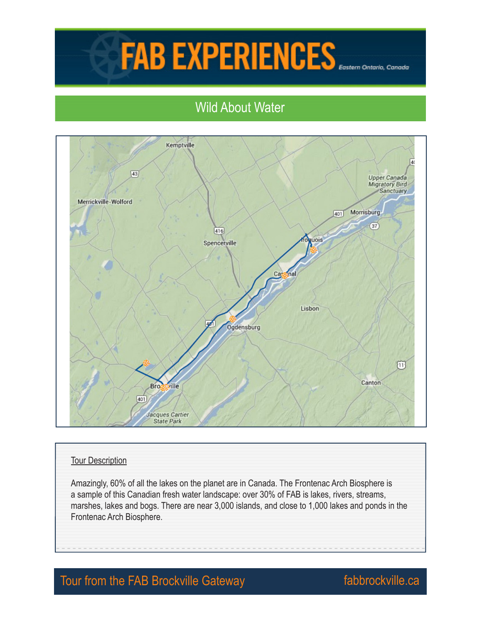## **FAB EXPERIENCES**

## Wild About Water



## Tour Description

Amazingly, 60% of all the lakes on the planet are in Canada. The Frontenac Arch Biosphere is a sample of this Canadian fresh water landscape: over 30% of FAB is lakes, rivers, streams, marshes, lakes and bogs. There are near 3,000 islands, and close to 1,000 lakes and ponds in the Frontenac Arch Biosphere.

## Tour from the FAB Brockville Gateway **Fabbrockville.ca**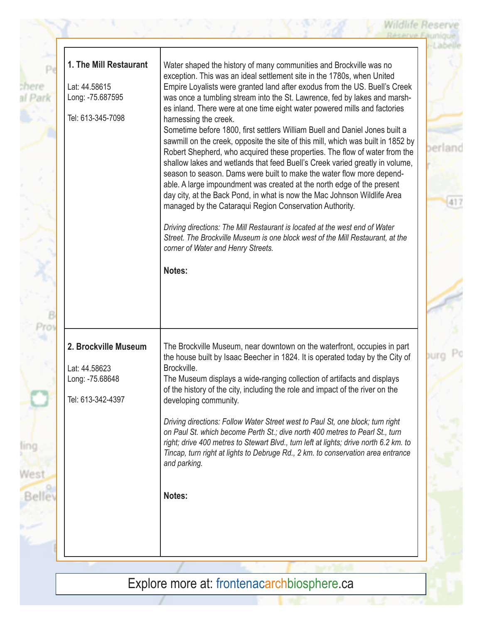| 1. The Mill Restaurant | Water shaped the history of many communities and Brockville was no                                                                                              |
|------------------------|-----------------------------------------------------------------------------------------------------------------------------------------------------------------|
| Lat: 44.58615          | exception. This was an ideal settlement site in the 1780s, when United                                                                                          |
| Long: -75.687595       | Empire Loyalists were granted land after exodus from the US. Buell's Creek<br>was once a tumbling stream into the St. Lawrence, fed by lakes and marsh-         |
|                        | es inland. There were at one time eight water powered mills and factories                                                                                       |
| Tel: 613-345-7098      | harnessing the creek.                                                                                                                                           |
|                        | Sometime before 1800, first settlers William Buell and Daniel Jones built a<br>sawmill on the creek, opposite the site of this mill, which was built in 1852 by |
|                        | Robert Shepherd, who acquired these properties. The flow of water from the                                                                                      |
|                        | shallow lakes and wetlands that feed Buell's Creek varied greatly in volume,                                                                                    |
|                        | season to season. Dams were built to make the water flow more depend-<br>able. A large impoundment was created at the north edge of the present                 |
|                        | day city, at the Back Pond, in what is now the Mac Johnson Wildlife Area                                                                                        |
|                        | managed by the Cataraqui Region Conservation Authority.                                                                                                         |
|                        | Driving directions: The Mill Restaurant is located at the west end of Water                                                                                     |
|                        | Street. The Brockville Museum is one block west of the Mill Restaurant, at the                                                                                  |
|                        | corner of Water and Henry Streets.                                                                                                                              |
|                        | Notes:                                                                                                                                                          |
|                        |                                                                                                                                                                 |
|                        |                                                                                                                                                                 |
|                        |                                                                                                                                                                 |
|                        |                                                                                                                                                                 |
| 2. Brockville Museum   | The Brockville Museum, near downtown on the waterfront, occupies in part                                                                                        |
|                        | the house built by Isaac Beecher in 1824. It is operated today by the City of                                                                                   |
| Lat: 44.58623          | Brockville.                                                                                                                                                     |
| Long: -75.68648        | The Museum displays a wide-ranging collection of artifacts and displays<br>of the history of the city, including the role and impact of the river on the        |
| Tel: 613-342-4397      | developing community.                                                                                                                                           |
|                        |                                                                                                                                                                 |
|                        | Driving directions: Follow Water Street west to Paul St, one block; turn right<br>on Paul St. which become Perth St.; dive north 400 metres to Pearl St., turn  |
|                        | right; drive 400 metres to Stewart Blvd., turn left at lights; drive north 6.2 km. to                                                                           |
|                        | Tincap, turn right at lights to Debruge Rd., 2 km. to conservation area entrance<br>and parking.                                                                |
|                        |                                                                                                                                                                 |
|                        |                                                                                                                                                                 |
|                        | Notes:                                                                                                                                                          |
|                        |                                                                                                                                                                 |
|                        |                                                                                                                                                                 |
|                        |                                                                                                                                                                 |

Wildlife Reserve

Explore more at: frontenacarchbiosphere.ca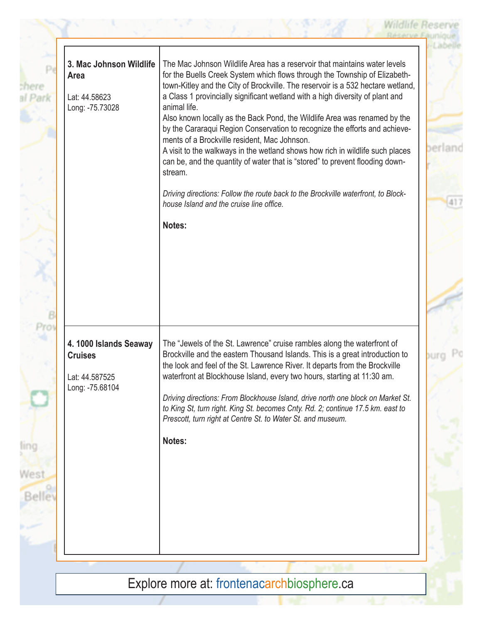| 3. Mac Johnson Wildlife<br>Area<br>Lat: 44.58623<br>Long: -75.73028          | The Mac Johnson Wildlife Area has a reservoir that maintains water levels<br>for the Buells Creek System which flows through the Township of Elizabeth-<br>town-Kitley and the City of Brockville. The reservoir is a 532 hectare wetland,<br>a Class 1 provincially significant wetland with a high diversity of plant and<br>animal life.<br>Also known locally as the Back Pond, the Wildlife Area was renamed by the<br>by the Cararaqui Region Conservation to recognize the efforts and achieve-<br>ments of a Brockville resident, Mac Johnson.<br>A visit to the walkways in the wetland shows how rich in wildlife such places<br>can be, and the quantity of water that is "stored" to prevent flooding down-<br>stream.<br>Driving directions: Follow the route back to the Brockville waterfront, to Block-<br>house Island and the cruise line office.<br>Notes: |
|------------------------------------------------------------------------------|-------------------------------------------------------------------------------------------------------------------------------------------------------------------------------------------------------------------------------------------------------------------------------------------------------------------------------------------------------------------------------------------------------------------------------------------------------------------------------------------------------------------------------------------------------------------------------------------------------------------------------------------------------------------------------------------------------------------------------------------------------------------------------------------------------------------------------------------------------------------------------|
| 4.1000 Islands Seaway<br><b>Cruises</b><br>Lat: 44.587525<br>Long: -75.68104 | The "Jewels of the St. Lawrence" cruise rambles along the waterfront of<br>Brockville and the eastern Thousand Islands. This is a great introduction to<br>the look and feel of the St. Lawrence River. It departs from the Brockville<br>waterfront at Blockhouse Island, every two hours, starting at 11:30 am.<br>Driving directions: From Blockhouse Island, drive north one block on Market St.<br>to King St, turn right. King St. becomes Cnty. Rd. 2; continue 17.5 km. east to<br>Prescott, turn right at Centre St. to Water St. and museum.<br>Notes:                                                                                                                                                                                                                                                                                                              |
|                                                                              |                                                                                                                                                                                                                                                                                                                                                                                                                                                                                                                                                                                                                                                                                                                                                                                                                                                                               |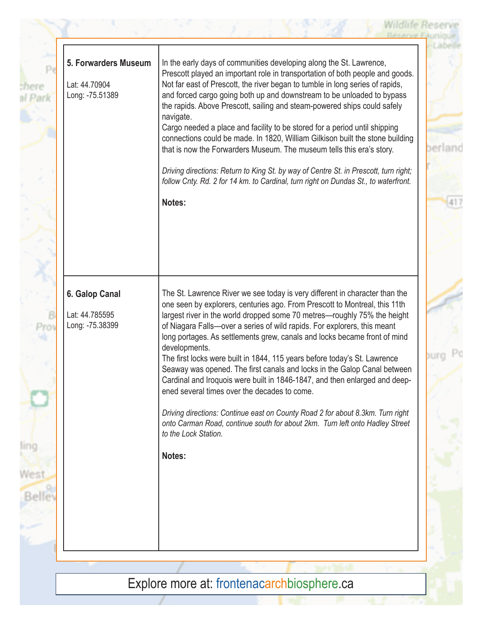| 5. Forwarders Museum<br>Lat: 44.70904<br>Long: -75.51389 | In the early days of communities developing along the St. Lawrence,<br>Prescott played an important role in transportation of both people and goods.<br>Not far east of Prescott, the river began to tumble in long series of rapids,<br>and forced cargo going both up and downstream to be unloaded to bypass<br>the rapids. Above Prescott, sailing and steam-powered ships could safely<br>navigate.<br>Cargo needed a place and facility to be stored for a period until shipping<br>connections could be made. In 1820, William Gilkison built the stone building<br>that is now the Forwarders Museum. The museum tells this era's story.<br>Driving directions: Return to King St. by way of Centre St. in Prescott, turn right;<br>follow Cnty. Rd. 2 for 14 km. to Cardinal, turn right on Dundas St., to waterfront.<br>Notes:                                                                  |
|----------------------------------------------------------|------------------------------------------------------------------------------------------------------------------------------------------------------------------------------------------------------------------------------------------------------------------------------------------------------------------------------------------------------------------------------------------------------------------------------------------------------------------------------------------------------------------------------------------------------------------------------------------------------------------------------------------------------------------------------------------------------------------------------------------------------------------------------------------------------------------------------------------------------------------------------------------------------------|
| 6. Galop Canal<br>Lat: 44.785595<br>Long: -75.38399      | The St. Lawrence River we see today is very different in character than the<br>one seen by explorers, centuries ago. From Prescott to Montreal, this 11th<br>largest river in the world dropped some 70 metres—roughly 75% the height<br>of Niagara Falls-over a series of wild rapids. For explorers, this meant<br>long portages. As settlements grew, canals and locks became front of mind<br>developments.<br>The first locks were built in 1844, 115 years before today's St. Lawrence<br>Seaway was opened. The first canals and locks in the Galop Canal between<br>Cardinal and Iroquois were built in 1846-1847, and then enlarged and deep-<br>ened several times over the decades to come.<br>Driving directions: Continue east on County Road 2 for about 8.3km. Turn right<br>onto Carman Road, continue south for about 2km. Turn left onto Hadley Street<br>to the Lock Station.<br>Notes: |

sh ał

**SIDNEY** 

B

Explore more at: frontenacarchbiosphere.ca